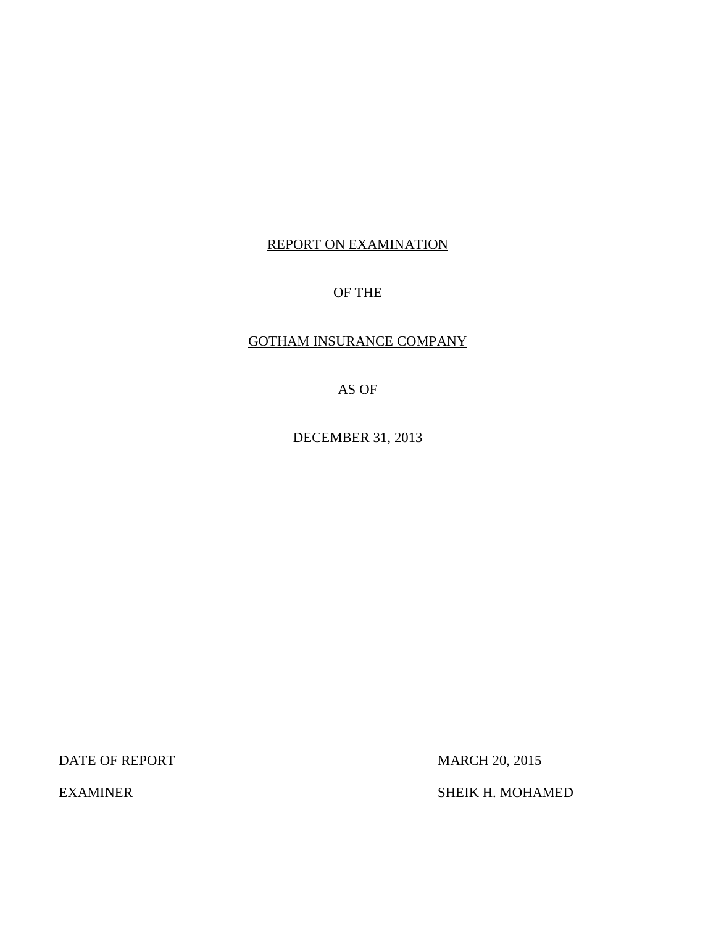## REPORT ON EXAMINATION

# OF THE

# GOTHAM INSURANCE COMPANY

AS OF

DECEMBER 31, 2013

DATE OF REPORT MARCH 20, 2015

EXAMINER SHEIK H. MOHAMED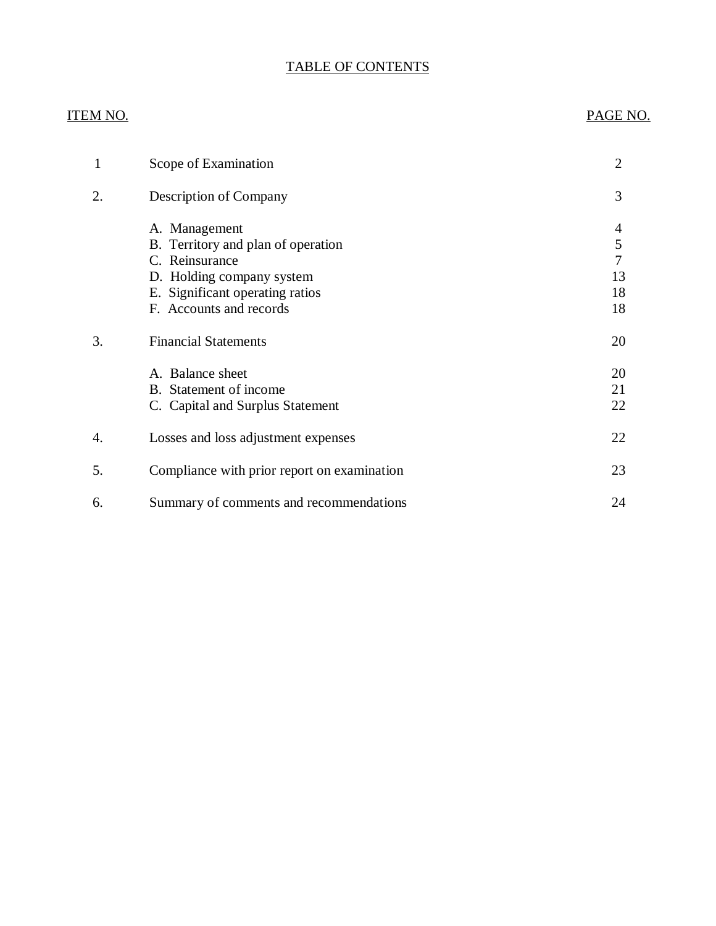# TABLE OF CONTENTS

# ITEM NO. PAGE NO.

| 1  | Scope of Examination                                                                                                                                             | $\overline{2}$                |
|----|------------------------------------------------------------------------------------------------------------------------------------------------------------------|-------------------------------|
| 2. | <b>Description of Company</b>                                                                                                                                    | 3                             |
|    | A. Management<br>B. Territory and plan of operation<br>C. Reinsurance<br>D. Holding company system<br>E. Significant operating ratios<br>F. Accounts and records | 4<br>5<br>7<br>13<br>18<br>18 |
| 3. | <b>Financial Statements</b>                                                                                                                                      | 20                            |
|    | A. Balance sheet<br>B. Statement of income<br>C. Capital and Surplus Statement                                                                                   | 20<br>21<br>22                |
| 4. | Losses and loss adjustment expenses                                                                                                                              | 22                            |
| 5. | Compliance with prior report on examination                                                                                                                      | 23                            |
| 6. | Summary of comments and recommendations                                                                                                                          | 24                            |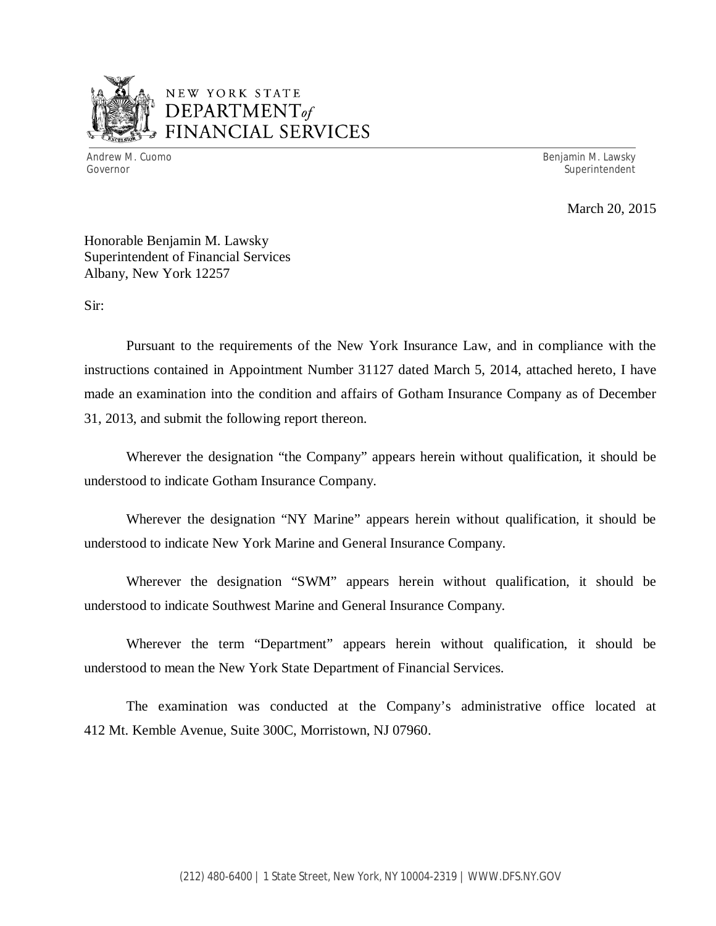

# NEW YORK STATE *DEPARTMENTof*  FINANCIAL SERVICES

Andrew M. Cuomo **Benjamin M. Lawsky** Governor Superintendent Superintendent Superintendent Superintendent Superintendent Superintendent Superintendent

March 20, 2015

Honorable Benjamin M. Lawsky Superintendent of Financial Services Albany, New York 12257

Sir:

Pursuant to the requirements of the New York Insurance Law, and in compliance with the instructions contained in Appointment Number 31127 dated March 5, 2014, attached hereto, I have made an examination into the condition and affairs of Gotham Insurance Company as of December 31, 2013, and submit the following report thereon.

Wherever the designation "the Company" appears herein without qualification, it should be understood to indicate Gotham Insurance Company.

Wherever the designation "NY Marine" appears herein without qualification, it should be understood to indicate New York Marine and General Insurance Company.

Wherever the designation "SWM" appears herein without qualification, it should be understood to indicate Southwest Marine and General Insurance Company.

Wherever the term "Department" appears herein without qualification, it should be understood to mean the New York State Department of Financial Services.

The examination was conducted at the Company's administrative office located at 412 Mt. Kemble Avenue, Suite 300C, Morristown, NJ 07960.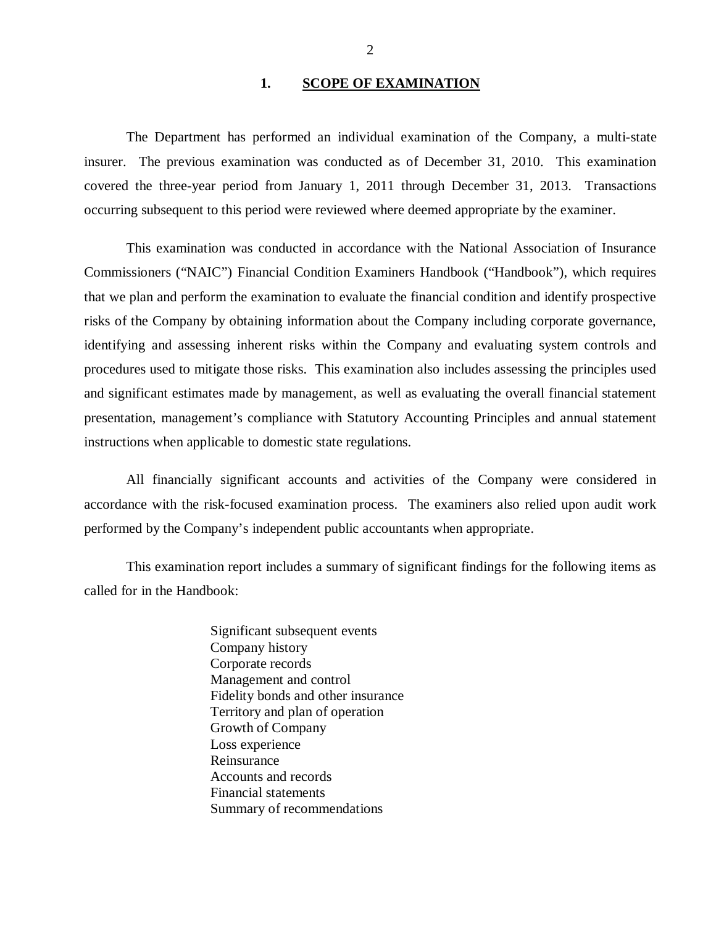#### 1. **SCOPE OF EXAMINATION**

<span id="page-3-0"></span>The Department has performed an individual examination of the Company*,* a multi-state insurer. The previous examination was conducted as of December 31, 2010. This examination covered the three-year period from January 1, 2011 through December 31, 2013. Transactions occurring subsequent to this period were reviewed where deemed appropriate by the examiner.

This examination was conducted in accordance with the National Association of Insurance Commissioners ("NAIC") Financial Condition Examiners Handbook ("Handbook"), which requires that we plan and perform the examination to evaluate the financial condition and identify prospective risks of the Company by obtaining information about the Company including corporate governance, identifying and assessing inherent risks within the Company and evaluating system controls and procedures used to mitigate those risks. This examination also includes assessing the principles used and significant estimates made by management, as well as evaluating the overall financial statement presentation, management's compliance with Statutory Accounting Principles and annual statement instructions when applicable to domestic state regulations.

All financially significant accounts and activities of the Company were considered in accordance with the risk-focused examination process. The examiners also relied upon audit work performed by the Company's independent public accountants when appropriate.

This examination report includes a summary of significant findings for the following items as called for in the Handbook:

> Significant subsequent events Company history Corporate records Management and control Fidelity bonds and other insurance Territory and plan of operation Growth of Company Loss experience Reinsurance Accounts and records Financial statements Summary of recommendations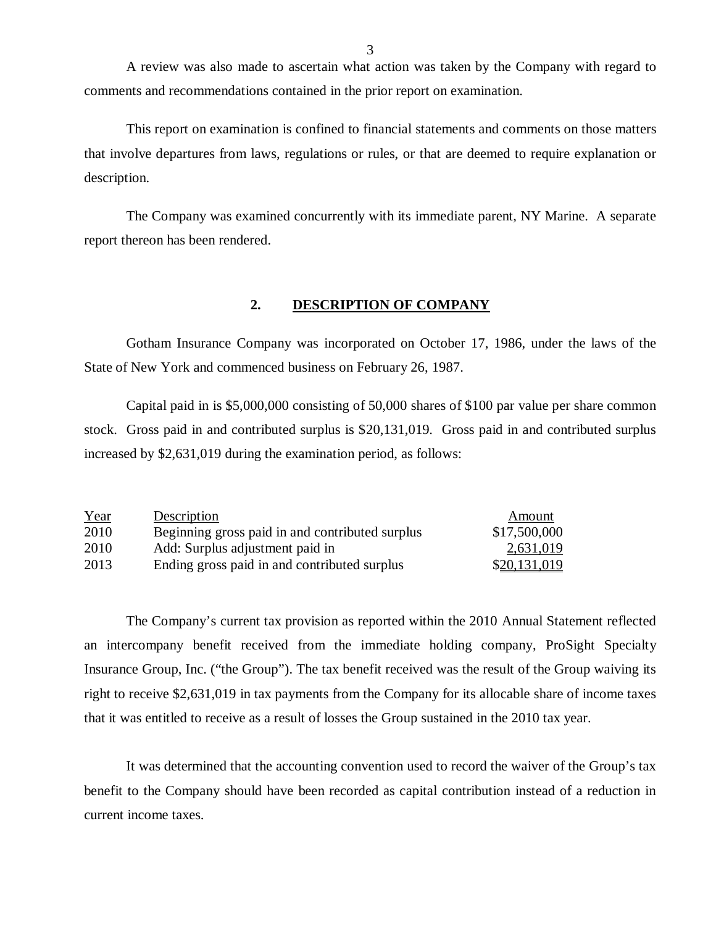A review was also made to ascertain what action was taken by the Company with regard to comments and recommendations contained in the prior report on examination.

This report on examination is confined to financial statements and comments on those matters that involve departures from laws, regulations or rules, or that are deemed to require explanation or description.

The Company was examined concurrently with its immediate parent, NY Marine. A separate report thereon has been rendered.

#### **2. DESCRIPTION OF COMPANY**

Gotham Insurance Company was incorporated on October 17, 1986, under the laws of the State of New York and commenced business on February 26, 1987.

Capital paid in is \$5,000,000 consisting of 50,000 shares of \$100 par value per share common stock. Gross paid in and contributed surplus is \$20,131,019. Gross paid in and contributed surplus increased by \$2,631,019 during the examination period, as follows:

| Year | Description                                     | Amount       |
|------|-------------------------------------------------|--------------|
| 2010 | Beginning gross paid in and contributed surplus | \$17,500,000 |
| 2010 | Add: Surplus adjustment paid in                 | 2,631,019    |
| 2013 | Ending gross paid in and contributed surplus    | \$20,131,019 |

The Company's current tax provision as reported within the 2010 Annual Statement reflected an intercompany benefit received from the immediate holding company, ProSight Specialty Insurance Group, Inc. ("the Group"). The tax benefit received was the result of the Group waiving its right to receive \$2,631,019 in tax payments from the Company for its allocable share of income taxes that it was entitled to receive as a result of losses the Group sustained in the 2010 tax year.

It was determined that the accounting convention used to record the waiver of the Group's tax benefit to the Company should have been recorded as capital contribution instead of a reduction in current income taxes.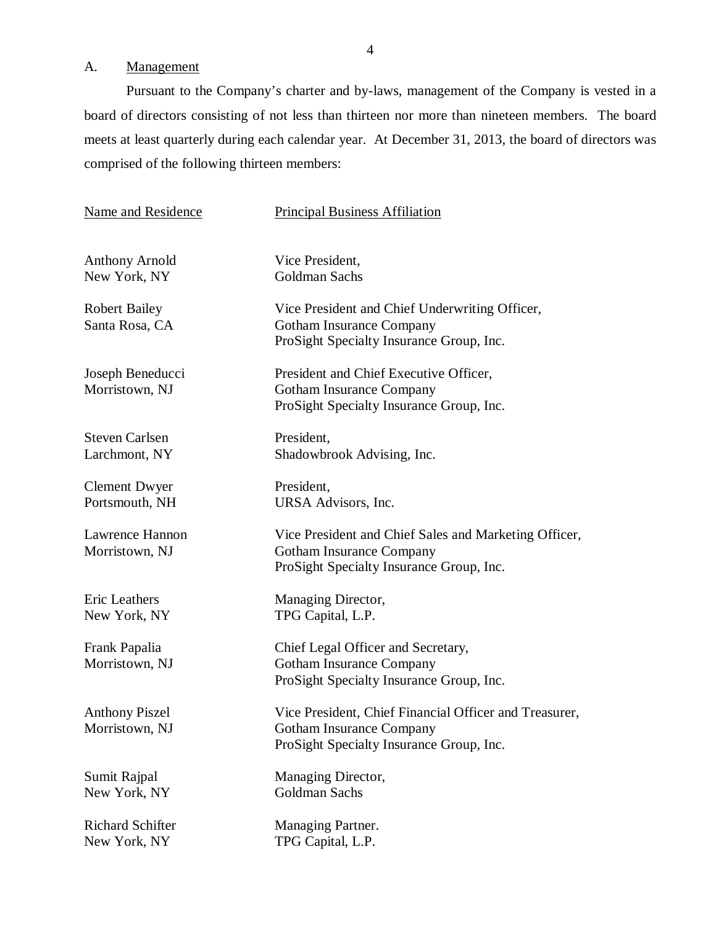# A. Management

Pursuant to the Company's charter and by-laws, management of the Company is vested in a board of directors consisting of not less than thirteen nor more than nineteen members. The board meets at least quarterly during each calendar year. At December 31, 2013, the board of directors was comprised of the following thirteen members:

| Name and Residence                      | <b>Principal Business Affiliation</b>                                                                                                |
|-----------------------------------------|--------------------------------------------------------------------------------------------------------------------------------------|
| <b>Anthony Arnold</b><br>New York, NY   | Vice President,<br>Goldman Sachs                                                                                                     |
| <b>Robert Bailey</b><br>Santa Rosa, CA  | Vice President and Chief Underwriting Officer,<br><b>Gotham Insurance Company</b><br>ProSight Specialty Insurance Group, Inc.        |
| Joseph Beneducci<br>Morristown, NJ      | President and Chief Executive Officer,<br><b>Gotham Insurance Company</b><br>ProSight Specialty Insurance Group, Inc.                |
| <b>Steven Carlsen</b><br>Larchmont, NY  | President,<br>Shadowbrook Advising, Inc.                                                                                             |
| <b>Clement Dwyer</b><br>Portsmouth, NH  | President,<br>URSA Advisors, Inc.                                                                                                    |
| Lawrence Hannon<br>Morristown, NJ       | Vice President and Chief Sales and Marketing Officer,<br><b>Gotham Insurance Company</b><br>ProSight Specialty Insurance Group, Inc. |
| Eric Leathers<br>New York, NY           | Managing Director,<br>TPG Capital, L.P.                                                                                              |
| Frank Papalia<br>Morristown, NJ         | Chief Legal Officer and Secretary,<br><b>Gotham Insurance Company</b><br>ProSight Specialty Insurance Group, Inc.                    |
| <b>Anthony Piszel</b><br>Morristown, NJ | Vice President, Chief Financial Officer and Treasurer,<br>Gotham Insurance Company<br>ProSight Specialty Insurance Group, Inc.       |
| Sumit Rajpal<br>New York, NY            | Managing Director,<br>Goldman Sachs                                                                                                  |
| Richard Schifter<br>New York, NY        | Managing Partner.<br>TPG Capital, L.P.                                                                                               |
|                                         |                                                                                                                                      |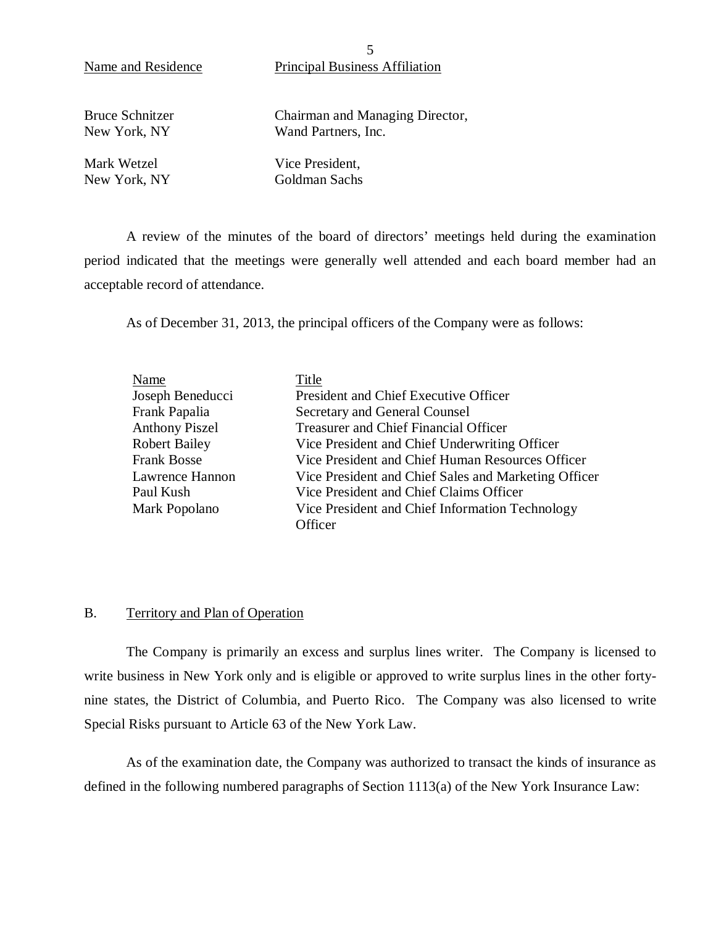Name and Residence Principal Business Affiliation

Bruce Schnitzer New York, NY

Chairman and Managing Director, Wand Partners, Inc.

Mark Wetzel New York, NY Vice President, Goldman Sachs

A review of the minutes of the board of directors' meetings held during the examination period indicated that the meetings were generally well attended and each board member had an acceptable record of attendance.

As of December 31, 2013, the principal officers of the Company were as follows:

| Name                  | Title                                                      |
|-----------------------|------------------------------------------------------------|
| Joseph Beneducci      | President and Chief Executive Officer                      |
| Frank Papalia         | Secretary and General Counsel                              |
| <b>Anthony Piszel</b> | Treasurer and Chief Financial Officer                      |
| <b>Robert Bailey</b>  | Vice President and Chief Underwriting Officer              |
| <b>Frank Bosse</b>    | Vice President and Chief Human Resources Officer           |
| Lawrence Hannon       | Vice President and Chief Sales and Marketing Officer       |
| Paul Kush             | Vice President and Chief Claims Officer                    |
| Mark Popolano         | Vice President and Chief Information Technology<br>Officer |

#### B. Territory and Plan of Operation

The Company is primarily an excess and surplus lines writer. The Company is licensed to write business in New York only and is eligible or approved to write surplus lines in the other fortynine states, the District of Columbia, and Puerto Rico. The Company was also licensed to write Special Risks pursuant to Article 63 of the New York Law.

As of the examination date, the Company was authorized to transact the kinds of insurance as defined in the following numbered paragraphs of Section 1113(a) of the New York Insurance Law:

5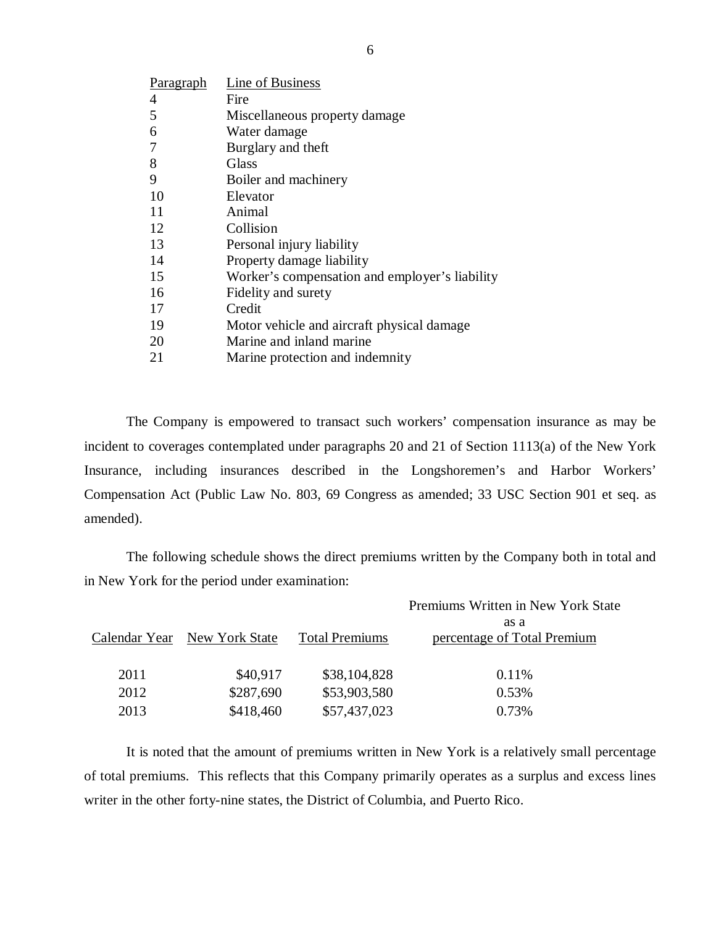| <b>Paragraph</b> | Line of Business                               |
|------------------|------------------------------------------------|
| 4                | Fire                                           |
| 5                | Miscellaneous property damage                  |
| 6                | Water damage                                   |
| 7                | Burglary and theft                             |
| 8                | Glass                                          |
| 9                | Boiler and machinery                           |
| 10               | Elevator                                       |
| 11               | Animal                                         |
| 12               | Collision                                      |
| 13               | Personal injury liability                      |
| 14               | Property damage liability                      |
| 15               | Worker's compensation and employer's liability |
| 16               | Fidelity and surety                            |
| 17               | Credit                                         |
| 19               | Motor vehicle and aircraft physical damage     |
| 20               | Marine and inland marine                       |
| 21               | Marine protection and indemnity                |

The Company is empowered to transact such workers' compensation insurance as may be incident to coverages contemplated under paragraphs 20 and 21 of Section 1113(a) of the New York Insurance, including insurances described in the Longshoremen's and Harbor Workers' Compensation Act (Public Law No. 803, 69 Congress as amended; 33 USC Section 901 et seq. as amended).

The following schedule shows the direct premiums written by the Company both in total and in New York for the period under examination:

|      |                              |                       | Premiums Written in New York State  |
|------|------------------------------|-----------------------|-------------------------------------|
|      | Calendar Year New York State | <b>Total Premiums</b> | as a<br>percentage of Total Premium |
| 2011 | \$40,917                     | \$38,104,828          | 0.11%                               |
| 2012 | \$287,690                    | \$53,903,580          | 0.53%                               |
| 2013 | \$418,460                    | \$57,437,023          | 0.73%                               |

It is noted that the amount of premiums written in New York is a relatively small percentage of total premiums. This reflects that this Company primarily operates as a surplus and excess lines writer in the other forty-nine states, the District of Columbia, and Puerto Rico.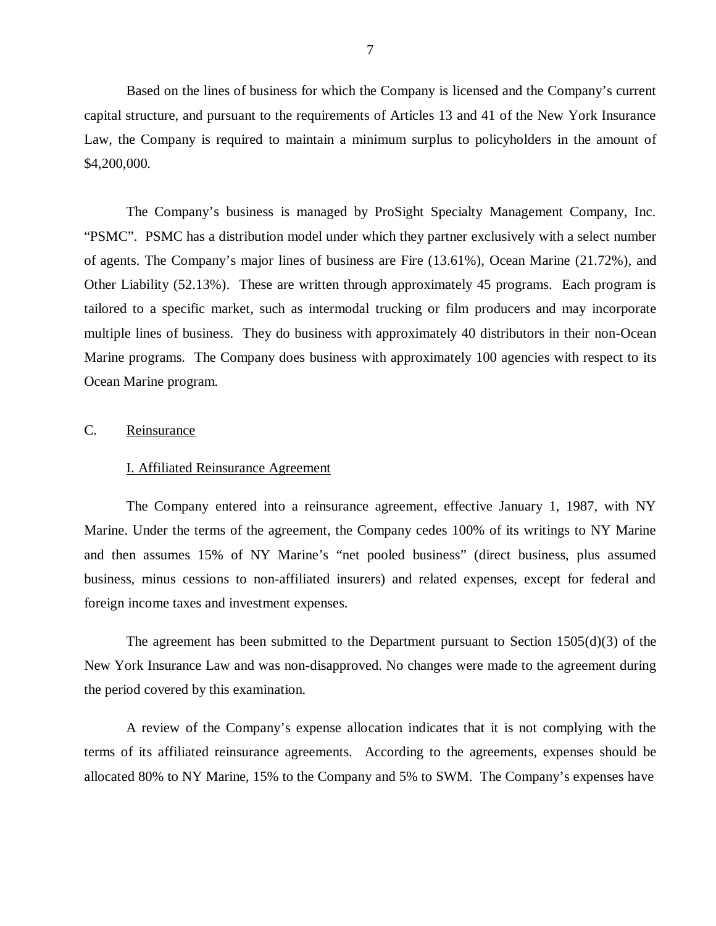<span id="page-8-0"></span>Based on the lines of business for which the Company is licensed and the Company's current capital structure, and pursuant to the requirements of Articles 13 and 41 of the New York Insurance Law, the Company is required to maintain a minimum surplus to policyholders in the amount of \$4,200,000.

The Company's business is managed by ProSight Specialty Management Company, Inc. "PSMC". PSMC has a distribution model under which they partner exclusively with a select number of agents. The Company's major lines of business are Fire (13.61%), Ocean Marine (21.72%), and Other Liability (52.13%). These are written through approximately 45 programs. Each program is tailored to a specific market, such as intermodal trucking or film producers and may incorporate multiple lines of business. They do business with approximately 40 distributors in their non-Ocean Marine programs. The Company does business with approximately 100 agencies with respect to its Ocean Marine program.

#### C. Reinsurance

#### I. Affiliated Reinsurance Agreement

The Company entered into a reinsurance agreement, effective January 1, 1987, with NY Marine. Under the terms of the agreement, the Company cedes 100% of its writings to NY Marine and then assumes 15% of NY Marine's "net pooled business" (direct business, plus assumed business, minus cessions to non-affiliated insurers) and related expenses, except for federal and foreign income taxes and investment expenses.

The agreement has been submitted to the Department pursuant to Section 1505(d)(3) of the New York Insurance Law and was non-disapproved. No changes were made to the agreement during the period covered by this examination.

A review of the Company's expense allocation indicates that it is not complying with the terms of its affiliated reinsurance agreements. According to the agreements, expenses should be allocated 80% to NY Marine, 15% to the Company and 5% to SWM. The Company's expenses have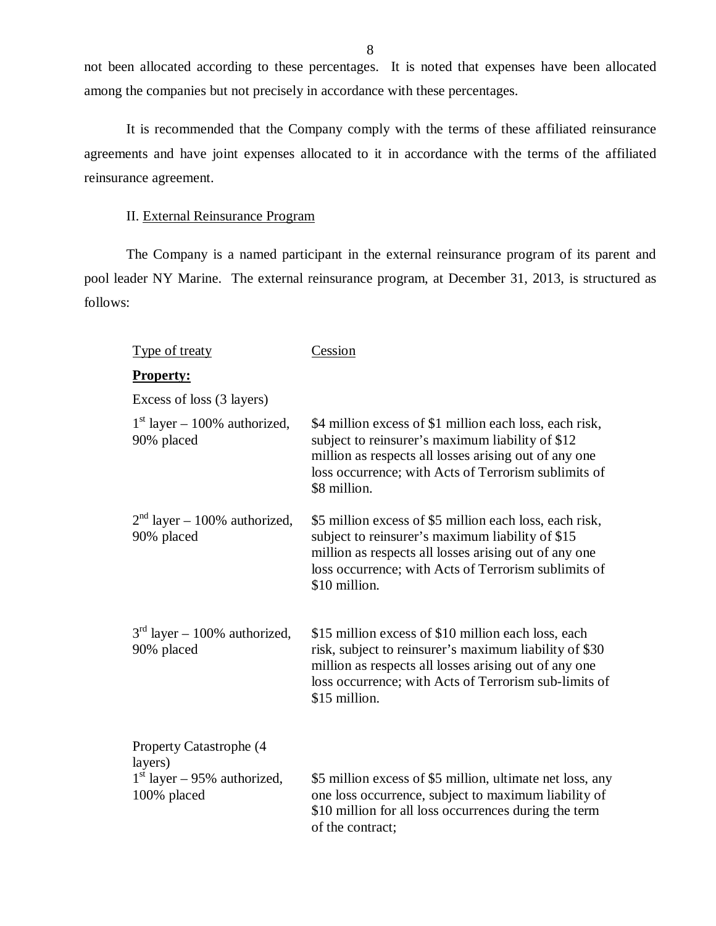not been allocated according to these percentages. It is noted that expenses have been allocated among the companies but not precisely in accordance with these percentages.

It is recommended that the Company comply with the terms of these affiliated reinsurance agreements and have joint expenses allocated to it in accordance with the terms of the affiliated reinsurance agreement.

### II. External Reinsurance Program

The Company is a named participant in the external reinsurance program of its parent and pool leader NY Marine. The external reinsurance program, at December 31, 2013, is structured as follows:

| <u>Type of treaty</u>                                                                      | Cession                                                                                                                                                                                                                                          |
|--------------------------------------------------------------------------------------------|--------------------------------------------------------------------------------------------------------------------------------------------------------------------------------------------------------------------------------------------------|
| <b>Property:</b>                                                                           |                                                                                                                                                                                                                                                  |
| Excess of loss (3 layers)                                                                  |                                                                                                                                                                                                                                                  |
| $1st$ layer – 100% authorized,<br>90% placed                                               | \$4 million excess of \$1 million each loss, each risk,<br>subject to reinsurer's maximum liability of \$12<br>million as respects all losses arising out of any one<br>loss occurrence; with Acts of Terrorism sublimits of<br>\$8 million.     |
| $2nd$ layer – 100% authorized,<br>90% placed                                               | \$5 million excess of \$5 million each loss, each risk,<br>subject to reinsurer's maximum liability of \$15<br>million as respects all losses arising out of any one<br>loss occurrence; with Acts of Terrorism sublimits of<br>\$10 million.    |
| $3rd$ layer – 100% authorized,<br>90% placed                                               | \$15 million excess of \$10 million each loss, each<br>risk, subject to reinsurer's maximum liability of \$30<br>million as respects all losses arising out of any one<br>loss occurrence; with Acts of Terrorism sub-limits of<br>\$15 million. |
| <b>Property Catastrophe (4)</b><br>layers)<br>$1st$ layer – 95% authorized,<br>100% placed | \$5 million excess of \$5 million, ultimate net loss, any<br>one loss occurrence, subject to maximum liability of<br>\$10 million for all loss occurrences during the term<br>of the contract;                                                   |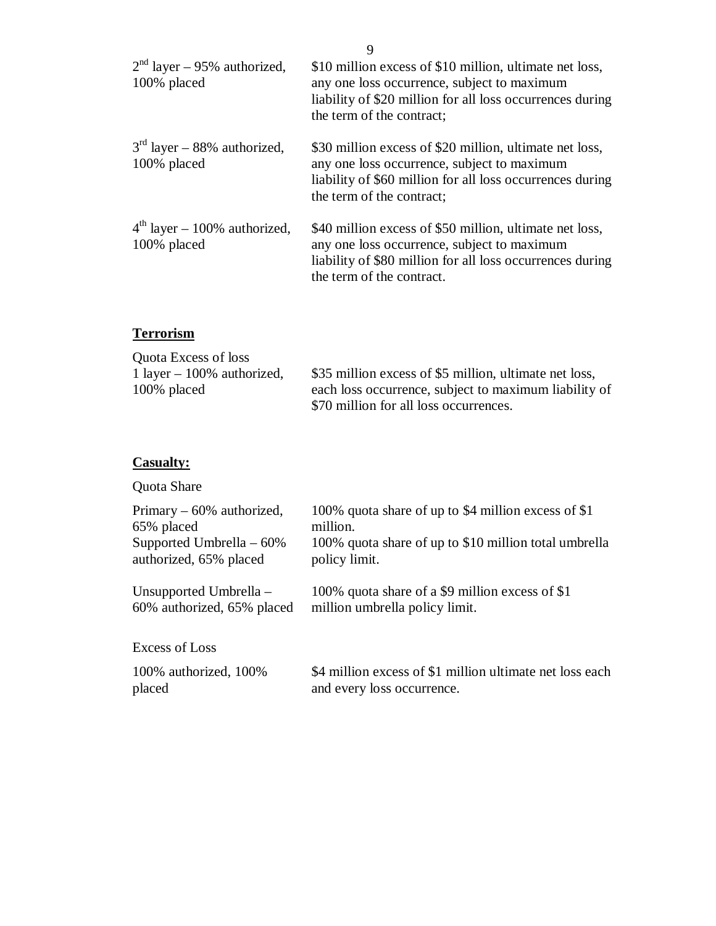| $2nd$ layer – 95% authorized,<br>100% placed  | \$10 million excess of \$10 million, ultimate net loss,<br>any one loss occurrence, subject to maximum<br>liability of \$20 million for all loss occurrences during<br>the term of the contract; |
|-----------------------------------------------|--------------------------------------------------------------------------------------------------------------------------------------------------------------------------------------------------|
| $3rd$ layer – 88% authorized,<br>100% placed  | \$30 million excess of \$20 million, ultimate net loss,<br>any one loss occurrence, subject to maximum<br>liability of \$60 million for all loss occurrences during<br>the term of the contract; |
| $4th$ layer – 100% authorized,<br>100% placed | \$40 million excess of \$50 million, ultimate net loss,<br>any one loss occurrence, subject to maximum<br>liability of \$80 million for all loss occurrences during<br>the term of the contract. |

# **Terrorism**

| <b>Quota Excess of loss</b>  |                                                        |
|------------------------------|--------------------------------------------------------|
| 1 layer $-100\%$ authorized, | \$35 million excess of \$5 million, ultimate net loss, |
| 100% placed                  | each loss occurrence, subject to maximum liability of  |
|                              | \$70 million for all loss occurrences.                 |

# **Casualty:**

Quota Share

| Primary $-60\%$ authorized, | 100% quota share of up to \$4 million excess of \$1      |
|-----------------------------|----------------------------------------------------------|
| 65% placed                  | million.                                                 |
| Supported Umbrella $-60\%$  | 100% quota share of up to \$10 million total umbrella    |
| authorized, 65% placed      | policy limit.                                            |
| Unsupported Umbrella $-$    | 100% quota share of a \$9 million excess of \$1          |
| 60% authorized, 65% placed  | million umbrella policy limit.                           |
| Excess of Loss              |                                                          |
| 100% authorized, 100%       | \$4 million excess of \$1 million ultimate net loss each |
| placed                      | and every loss occurrence.                               |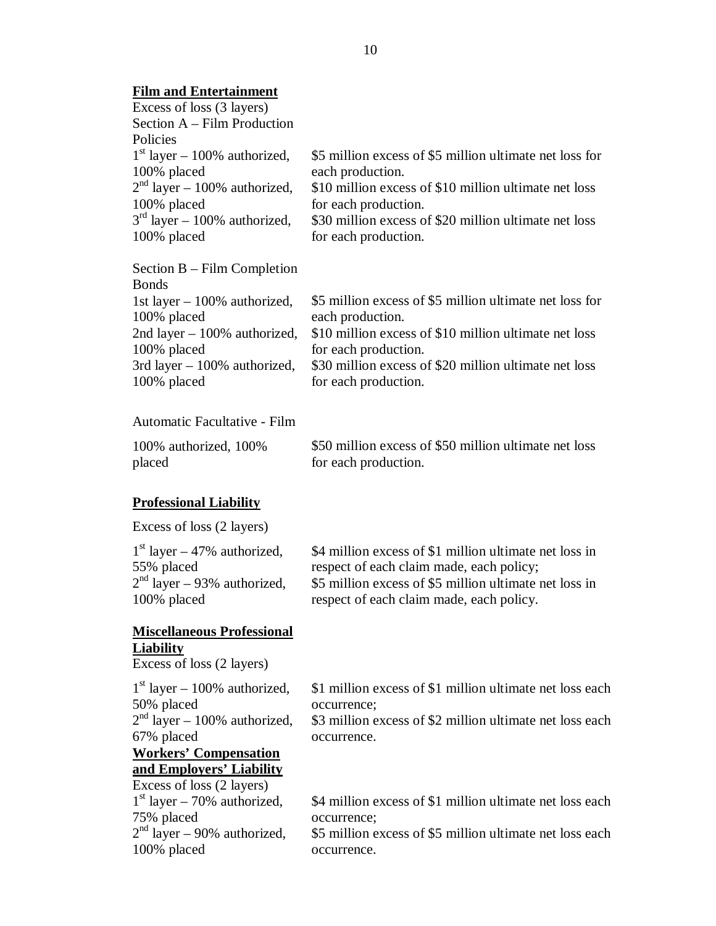#### **Film and Entertainment**

| Excess of loss (3 layers)      |                                                         |
|--------------------------------|---------------------------------------------------------|
| Section A – Film Production    |                                                         |
| Policies                       |                                                         |
| $1st$ layer – 100% authorized, | \$5 million excess of \$5 million ultimate net loss for |
| 100% placed                    | each production.                                        |
| $2nd$ layer – 100% authorized, | \$10 million excess of \$10 million ultimate net loss   |
| 100% placed                    | for each production.                                    |
| $3rd$ layer – 100% authorized, | \$30 million excess of \$20 million ultimate net loss   |
| 100% placed                    | for each production.                                    |
|                                |                                                         |

| Section $B - Film Completion$  |
|--------------------------------|
| <b>Bonds</b>                   |
| 1st layer $-100\%$ authorized, |
| 100% placed                    |
| 2nd layer $-100\%$ authorized, |
| 100% placed                    |
| 3rd layer $-100\%$ authorized, |
| 100% placed                    |

\$5 million excess of \$5 million ultimate net loss for each production. \$10 million excess of \$10 million ultimate net loss

for each production. \$30 million excess of \$20 million ultimate net loss for each production.

Automatic Facultative - Film

100% authorized, 100% placed

\$50 million excess of \$50 million ultimate net loss for each production.

#### **Professional Liability**

Excess of loss (2 layers)

| $1st$ layer – 47% authorized, | \$4 million excess of \$1 million ultimate net loss in |
|-------------------------------|--------------------------------------------------------|
| 55% placed                    | respect of each claim made, each policy;               |
| $2nd$ layer – 93% authorized, | \$5 million excess of \$5 million ultimate net loss in |
| 100% placed                   | respect of each claim made, each policy.               |

#### **Miscellaneous Professional Liability**

Excess of loss (2 layers)

 $1<sup>st</sup>$  layer – 100% authorized, 50% placed  $2<sup>nd</sup>$  layer – 100% authorized, 67% placed **Workers' Compensation and Employers' Liability**  Excess of loss (2 layers)  $1<sup>st</sup>$  layer – 70% authorized, 75% placed

 $2<sup>nd</sup>$  layer – 90% authorized, 100% placed

\$1 million excess of \$1 million ultimate net loss each occurrence;

\$3 million excess of \$2 million ultimate net loss each occurrence.

\$4 million excess of \$1 million ultimate net loss each occurrence;

\$5 million excess of \$5 million ultimate net loss each occurrence.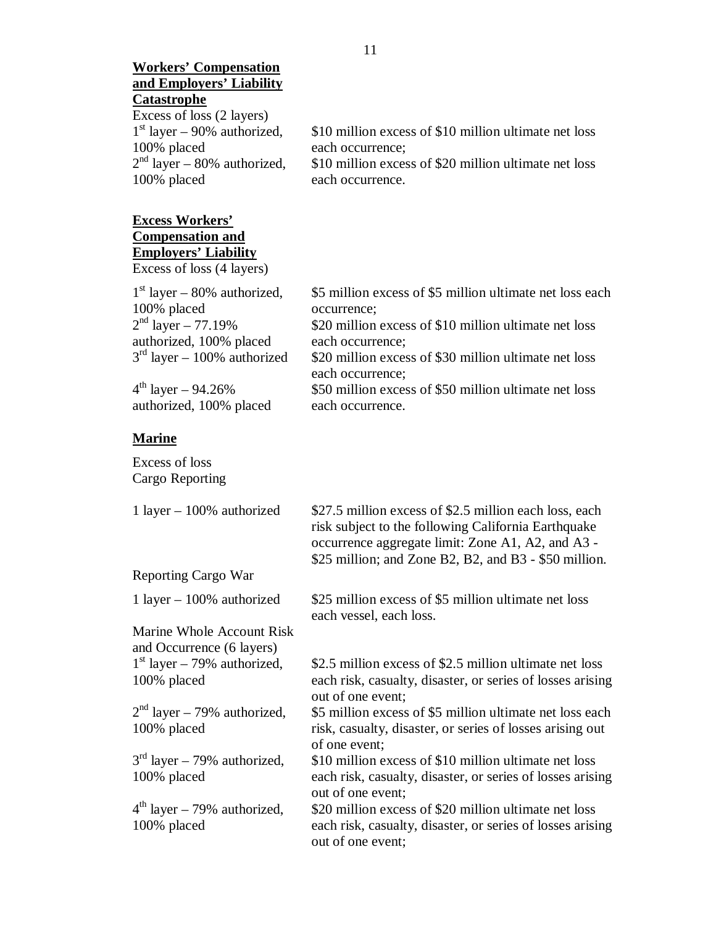| <b>Workers' Compensation</b><br>and Employers' Liability |                                                                            |
|----------------------------------------------------------|----------------------------------------------------------------------------|
| <b>Catastrophe</b>                                       |                                                                            |
| Excess of loss (2 layers)                                |                                                                            |
| $1st$ layer – 90% authorized,                            | \$10 million excess of \$10 million ultimate net loss                      |
| 100% placed                                              | each occurrence;                                                           |
| $2nd$ layer – 80% authorized,                            | \$10 million excess of \$20 million ultimate net loss                      |
| 100% placed                                              | each occurrence.                                                           |
| <b>Excess Workers'</b>                                   |                                                                            |
| <b>Compensation and</b>                                  |                                                                            |
| <b>Employers' Liability</b>                              |                                                                            |
| Excess of loss (4 layers)                                |                                                                            |
| $1st$ layer – 80% authorized,                            | \$5 million excess of \$5 million ultimate net loss each                   |
| 100% placed                                              | occurrence;                                                                |
| $2nd$ layer - 77.19%                                     | \$20 million excess of \$10 million ultimate net loss                      |
| authorized, 100% placed                                  | each occurrence;                                                           |
| $3rd$ layer – 100% authorized                            | \$20 million excess of \$30 million ultimate net loss                      |
|                                                          | each occurrence;                                                           |
| $4^{th}$ layer - 94.26%                                  | \$50 million excess of \$50 million ultimate net loss                      |
| authorized, 100% placed                                  | each occurrence.                                                           |
| <b>Marine</b>                                            |                                                                            |
| Excess of loss                                           |                                                                            |
| Cargo Reporting                                          |                                                                            |
| 1 layer $-100\%$ authorized                              | \$27.5 million excess of \$2.5 million each loss, each                     |
|                                                          | risk subject to the following California Earthquake                        |
|                                                          | occurrence aggregate limit: Zone A1, A2, and A3 -                          |
|                                                          | \$25 million; and Zone B2, B2, and B3 - \$50 million.                      |
| Reporting Cargo War                                      |                                                                            |
| 1 layer $-100\%$ authorized                              | \$25 million excess of \$5 million ultimate net loss                       |
|                                                          | each vessel, each loss.                                                    |
| Marine Whole Account Risk                                |                                                                            |
| and Occurrence (6 layers)                                |                                                                            |
| $1st$ layer – 79% authorized,                            | \$2.5 million excess of \$2.5 million ultimate net loss                    |
| 100% placed                                              | each risk, casualty, disaster, or series of losses arising                 |
|                                                          | out of one event;                                                          |
| $2nd$ layer – 79% authorized,<br>100% placed             | \$5 million excess of \$5 million ultimate net loss each                   |
|                                                          | risk, casualty, disaster, or series of losses arising out<br>of one event; |

 $3<sup>rd</sup>$  layer – 79% authorized, \$10 million excess of \$10 million ultimate net loss 100% placed each risk, casualty, disaster, or series of losses arising out of one event;

 $4<sup>th</sup>$  layer – 79% authorized, \$20 million excess of \$20 million ultimate net loss each risk, casualty, disaster, or series of losses arisi each risk, casualty, disaster, or series of losses arising out of one event;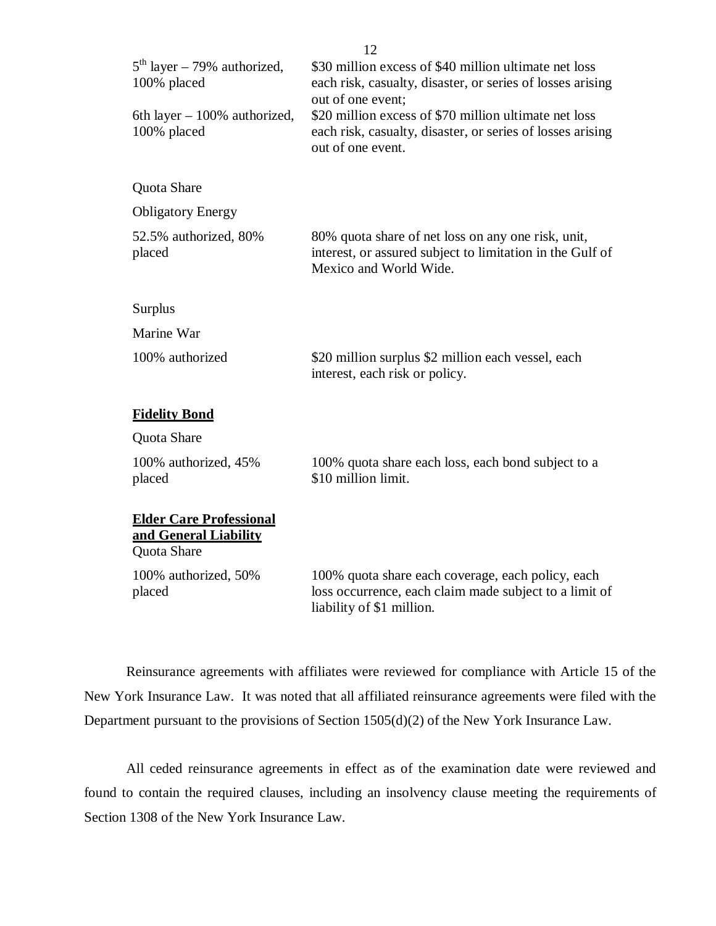| $5th$ layer – 79% authorized,<br>100% placed<br>6th layer $-100\%$ authorized,<br>100% placed | \$30 million excess of \$40 million ultimate net loss<br>each risk, casualty, disaster, or series of losses arising<br>out of one event;<br>\$20 million excess of \$70 million ultimate net loss<br>each risk, casualty, disaster, or series of losses arising<br>out of one event. |
|-----------------------------------------------------------------------------------------------|--------------------------------------------------------------------------------------------------------------------------------------------------------------------------------------------------------------------------------------------------------------------------------------|
| Quota Share                                                                                   |                                                                                                                                                                                                                                                                                      |
| <b>Obligatory Energy</b>                                                                      |                                                                                                                                                                                                                                                                                      |
| 52.5% authorized, 80%<br>placed                                                               | 80% quota share of net loss on any one risk, unit,<br>interest, or assured subject to limitation in the Gulf of<br>Mexico and World Wide.                                                                                                                                            |
| <b>Surplus</b>                                                                                |                                                                                                                                                                                                                                                                                      |
| Marine War                                                                                    |                                                                                                                                                                                                                                                                                      |
| 100% authorized                                                                               | \$20 million surplus \$2 million each vessel, each<br>interest, each risk or policy.                                                                                                                                                                                                 |
| <b>Fidelity Bond</b>                                                                          |                                                                                                                                                                                                                                                                                      |
| Quota Share                                                                                   |                                                                                                                                                                                                                                                                                      |
| 100% authorized, 45%<br>placed                                                                | 100% quota share each loss, each bond subject to a<br>\$10 million limit.                                                                                                                                                                                                            |
| <b>Elder Care Professional</b><br>and General Liability<br>Quota Share                        |                                                                                                                                                                                                                                                                                      |
| 100% authorized, 50%<br>placed                                                                | 100% quota share each coverage, each policy, each<br>loss occurrence, each claim made subject to a limit of<br>liability of \$1 million.                                                                                                                                             |

Reinsurance agreements with affiliates were reviewed for compliance with Article 15 of the New York Insurance Law. It was noted that all affiliated reinsurance agreements were filed with the Department pursuant to the provisions of Section 1505(d)(2) of the New York Insurance Law.

All ceded reinsurance agreements in effect as of the examination date were reviewed and found to contain the required clauses, including an insolvency clause meeting the requirements of Section 1308 of the New York Insurance Law.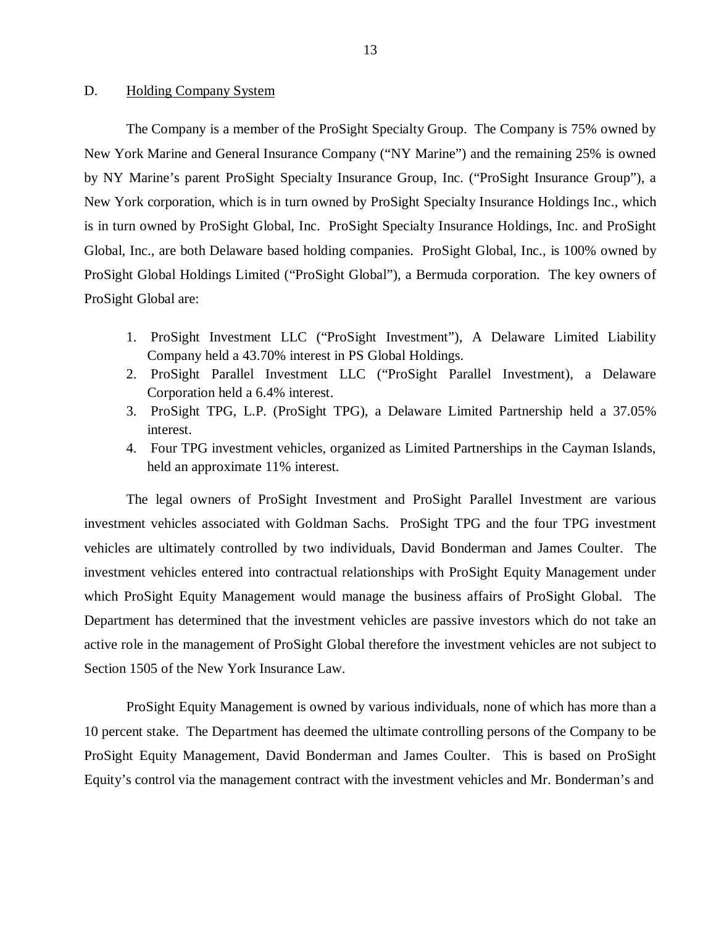#### <span id="page-14-0"></span>D. Holding Company System

The Company is a member of the ProSight Specialty Group. The Company is 75% owned by New York Marine and General Insurance Company ("NY Marine") and the remaining 25% is owned by NY Marine's parent ProSight Specialty Insurance Group, Inc. ("ProSight Insurance Group"), a New York corporation, which is in turn owned by ProSight Specialty Insurance Holdings Inc., which is in turn owned by ProSight Global, Inc. ProSight Specialty Insurance Holdings, Inc. and ProSight Global, Inc., are both Delaware based holding companies. ProSight Global, Inc., is 100% owned by ProSight Global Holdings Limited ("ProSight Global"), a Bermuda corporation. The key owners of ProSight Global are:

- 1. ProSight Investment LLC ("ProSight Investment"), A Delaware Limited Liability Company held a 43.70% interest in PS Global Holdings.
- 2. ProSight Parallel Investment LLC ("ProSight Parallel Investment), a Delaware Corporation held a 6.4% interest.
- 3. ProSight TPG, L.P. (ProSight TPG), a Delaware Limited Partnership held a 37.05% interest.
- 4. Four TPG investment vehicles, organized as Limited Partnerships in the Cayman Islands, held an approximate 11% interest.

The legal owners of ProSight Investment and ProSight Parallel Investment are various investment vehicles associated with Goldman Sachs. ProSight TPG and the four TPG investment vehicles are ultimately controlled by two individuals, David Bonderman and James Coulter. The investment vehicles entered into contractual relationships with ProSight Equity Management under which ProSight Equity Management would manage the business affairs of ProSight Global. The Department has determined that the investment vehicles are passive investors which do not take an active role in the management of ProSight Global therefore the investment vehicles are not subject to Section 1505 of the New York Insurance Law.

ProSight Equity Management is owned by various individuals, none of which has more than a 10 percent stake. The Department has deemed the ultimate controlling persons of the Company to be ProSight Equity Management, David Bonderman and James Coulter. This is based on ProSight Equity's control via the management contract with the investment vehicles and Mr. Bonderman's and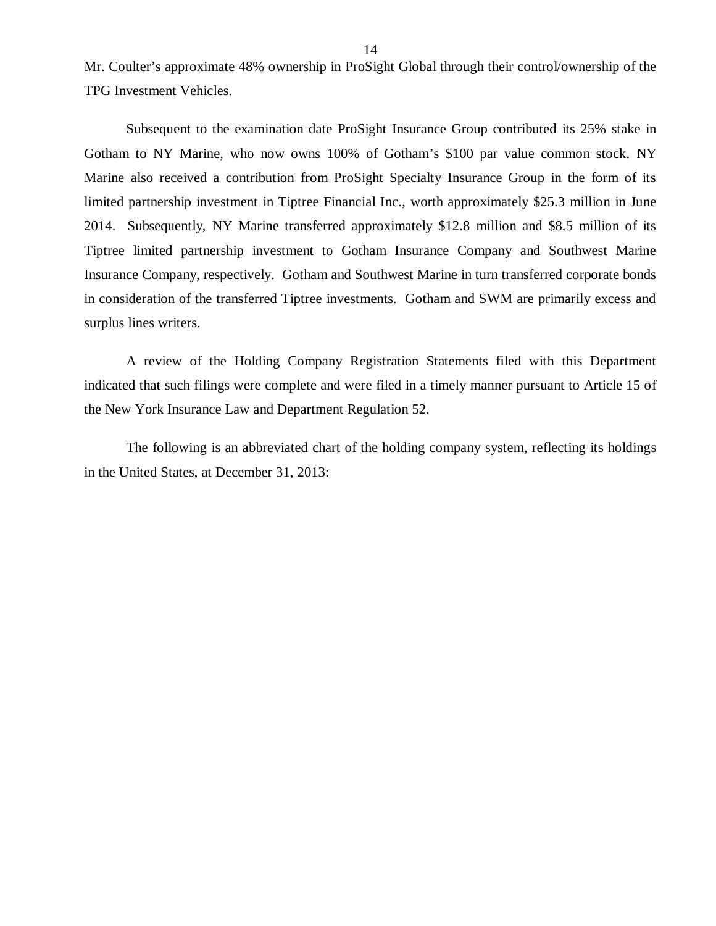Mr. Coulter's approximate 48% ownership in ProSight Global through their control/ownership of the TPG Investment Vehicles.

Subsequent to the examination date ProSight Insurance Group contributed its 25% stake in Gotham to NY Marine, who now owns 100% of Gotham's \$100 par value common stock. NY Marine also received a contribution from ProSight Specialty Insurance Group in the form of its limited partnership investment in Tiptree Financial Inc., worth approximately \$25.3 million in June 2014. Subsequently, NY Marine transferred approximately \$12.8 million and \$8.5 million of its Tiptree limited partnership investment to Gotham Insurance Company and Southwest Marine Insurance Company, respectively. Gotham and Southwest Marine in turn transferred corporate bonds in consideration of the transferred Tiptree investments. Gotham and SWM are primarily excess and surplus lines writers.

A review of the Holding Company Registration Statements filed with this Department indicated that such filings were complete and were filed in a timely manner pursuant to Article 15 of the New York Insurance Law and Department Regulation 52.

The following is an abbreviated chart of the holding company system, reflecting its holdings in the United States, at December 31, 2013: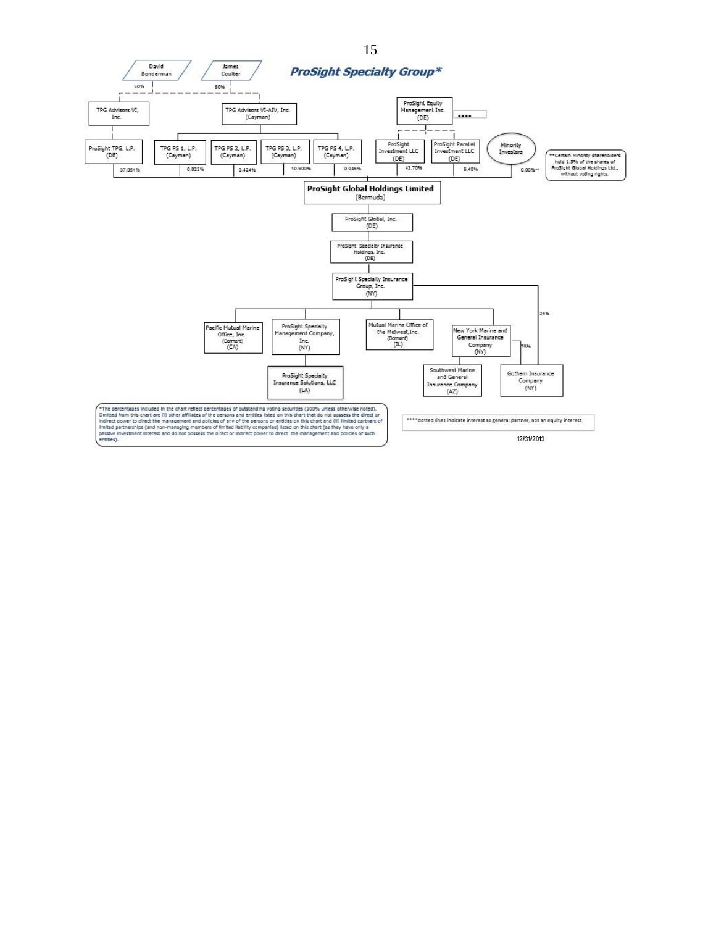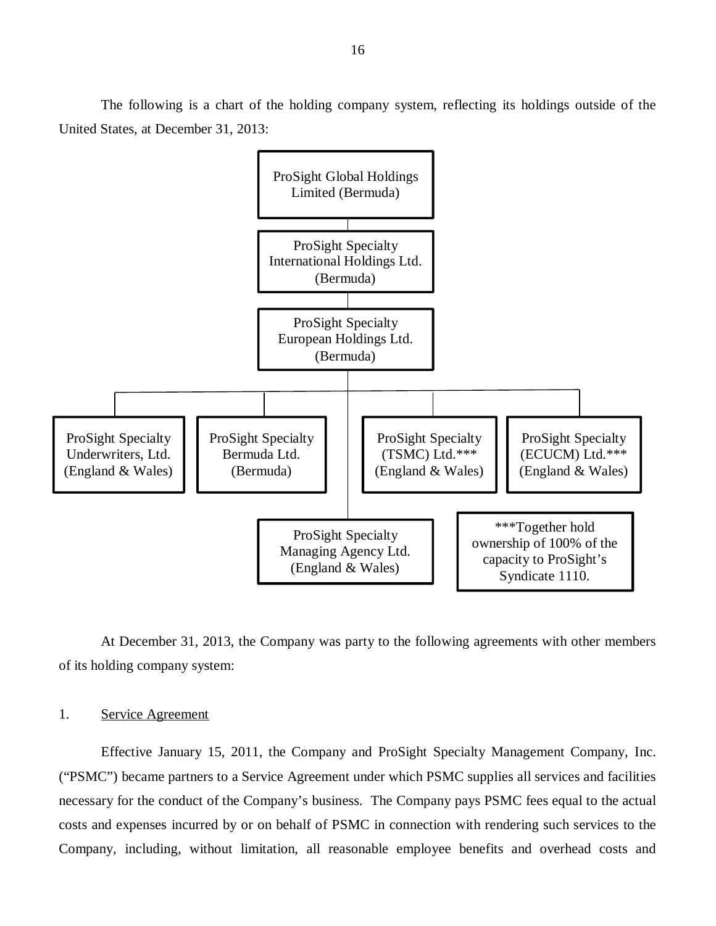The following is a chart of the holding company system, reflecting its holdings outside of the United States, at December 31, 2013:



At December 31, 2013, the Company was party to the following agreements with other members of its holding company system:

#### 1. Service Agreement

Effective January 15, 2011, the Company and ProSight Specialty Management Company, Inc. ("PSMC") became partners to a Service Agreement under which PSMC supplies all services and facilities necessary for the conduct of the Company's business. The Company pays PSMC fees equal to the actual costs and expenses incurred by or on behalf of PSMC in connection with rendering such services to the Company, including, without limitation, all reasonable employee benefits and overhead costs and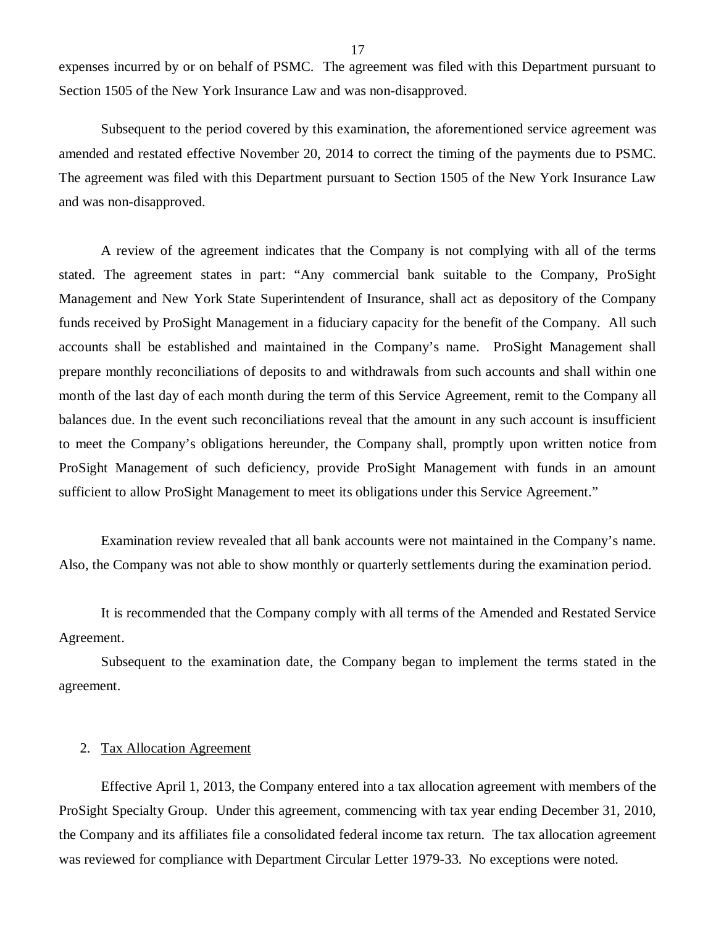expenses incurred by or on behalf of PSMC. The agreement was filed with this Department pursuant to Section 1505 of the New York Insurance Law and was non-disapproved.

Subsequent to the period covered by this examination, the aforementioned service agreement was amended and restated effective November 20, 2014 to correct the timing of the payments due to PSMC. The agreement was filed with this Department pursuant to Section 1505 of the New York Insurance Law and was non-disapproved.

A review of the agreement indicates that the Company is not complying with all of the terms stated. The agreement states in part: "Any commercial bank suitable to the Company, ProSight Management and New York State Superintendent of Insurance, shall act as depository of the Company funds received by ProSight Management in a fiduciary capacity for the benefit of the Company. All such accounts shall be established and maintained in the Company's name. ProSight Management shall prepare monthly reconciliations of deposits to and withdrawals from such accounts and shall within one month of the last day of each month during the term of this Service Agreement, remit to the Company all balances due. In the event such reconciliations reveal that the amount in any such account is insufficient to meet the Company's obligations hereunder, the Company shall, promptly upon written notice from ProSight Management of such deficiency, provide ProSight Management with funds in an amount sufficient to allow ProSight Management to meet its obligations under this Service Agreement."

Examination review revealed that all bank accounts were not maintained in the Company's name. Also, the Company was not able to show monthly or quarterly settlements during the examination period.

It is recommended that the Company comply with all terms of the Amended and Restated Service Agreement.

Subsequent to the examination date, the Company began to implement the terms stated in the agreement.

#### 2. Tax Allocation Agreement

Effective April 1, 2013, the Company entered into a tax allocation agreement with members of the ProSight Specialty Group. Under this agreement, commencing with tax year ending December 31, 2010, the Company and its affiliates file a consolidated federal income tax return. The tax allocation agreement was reviewed for compliance with Department Circular Letter 1979-33. No exceptions were noted.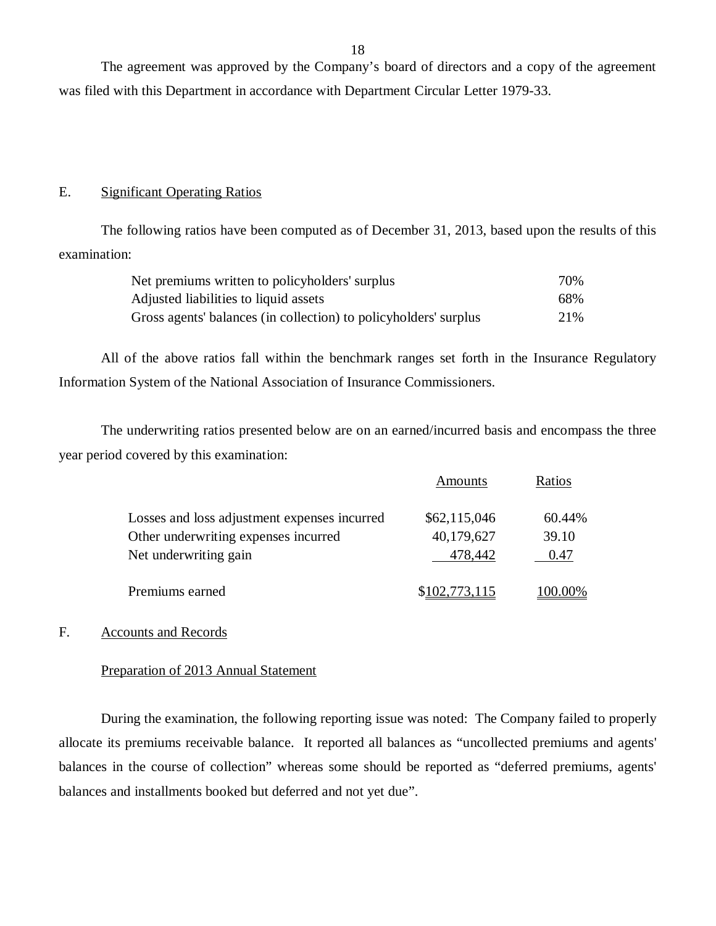<span id="page-19-0"></span>The agreement was approved by the Company's board of directors and a copy of the agreement was filed with this Department in accordance with Department Circular Letter 1979-33.

#### E. Significant Operating Ratios

The following ratios have been computed as of December 31, 2013, based upon the results of this examination:

| Net premiums written to policyholders' surplus                   |      |
|------------------------------------------------------------------|------|
| Adjusted liabilities to liquid assets                            | 68%  |
| Gross agents' balances (in collection) to policyholders' surplus | 2.1% |

All of the above ratios fall within the benchmark ranges set forth in the Insurance Regulatory Information System of the National Association of Insurance Commissioners.

The underwriting ratios presented below are on an earned/incurred basis and encompass the three year period covered by this examination:

|                                              | Amounts       | Ratios  |
|----------------------------------------------|---------------|---------|
| Losses and loss adjustment expenses incurred | \$62,115,046  | 60.44%  |
| Other underwriting expenses incurred         | 40,179,627    | 39.10   |
| Net underwriting gain                        | 478,442       | 0.47    |
| Premiums earned                              | \$102,773,115 | 100.00% |

#### F. Accounts and Records

#### Preparation of 2013 Annual Statement

During the examination, the following reporting issue was noted: The Company failed to properly allocate its premiums receivable balance. It reported all balances as "uncollected premiums and agents' balances in the course of collection" whereas some should be reported as "deferred premiums, agents' balances and installments booked but deferred and not yet due".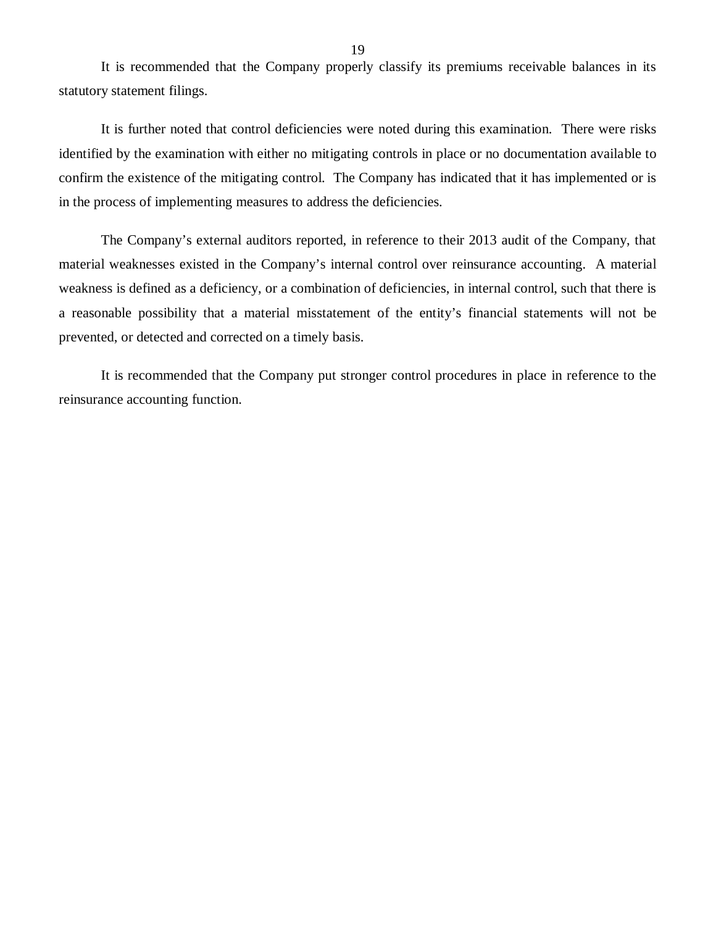It is recommended that the Company properly classify its premiums receivable balances in its statutory statement filings.

It is further noted that control deficiencies were noted during this examination. There were risks identified by the examination with either no mitigating controls in place or no documentation available to confirm the existence of the mitigating control. The Company has indicated that it has implemented or is in the process of implementing measures to address the deficiencies.

The Company's external auditors reported, in reference to their 2013 audit of the Company, that material weaknesses existed in the Company's internal control over reinsurance accounting. A material weakness is defined as a deficiency, or a combination of deficiencies, in internal control, such that there is a reasonable possibility that a material misstatement of the entity's financial statements will not be prevented, or detected and corrected on a timely basis.

It is recommended that the Company put stronger control procedures in place in reference to the reinsurance accounting function.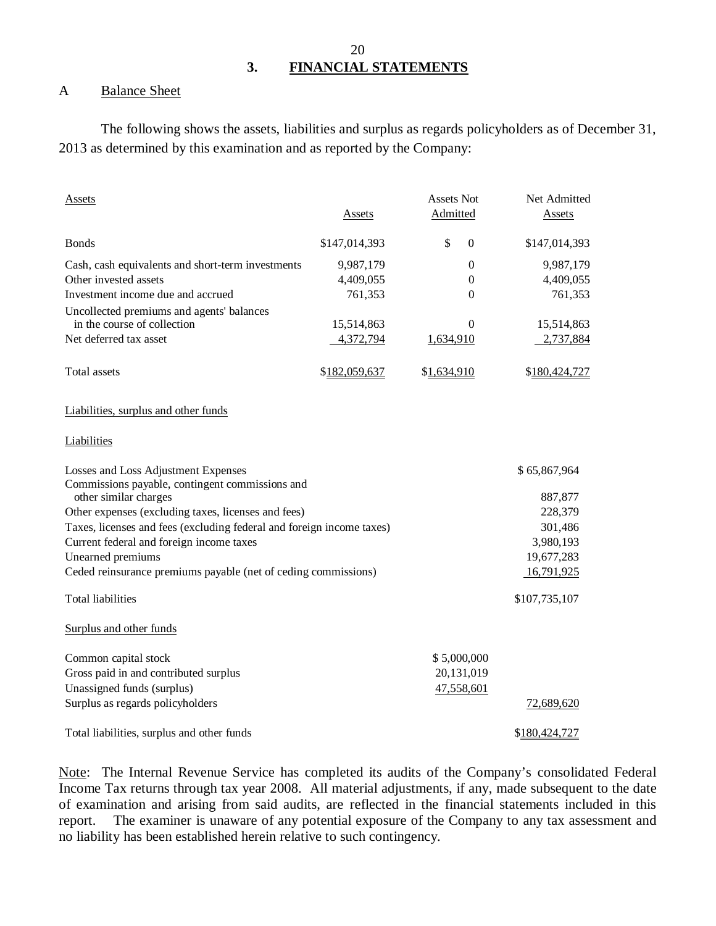# **3. FINANCIAL STATEMENTS**

#### A Balance Sheet

The following shows the assets, liabilities and surplus as regards policyholders as of December 31, 2013 as determined by this examination and as reported by the Company:

| <b>Assets</b>                                                            | Assets        | <b>Assets Not</b><br>Admitted | Net Admitted<br>Assets |
|--------------------------------------------------------------------------|---------------|-------------------------------|------------------------|
|                                                                          |               |                               |                        |
| <b>Bonds</b>                                                             | \$147,014,393 | \$<br>$\Omega$                | \$147,014,393          |
| Cash, cash equivalents and short-term investments                        | 9,987,179     | $\boldsymbol{0}$              | 9,987,179              |
| Other invested assets                                                    | 4,409,055     | 0                             | 4,409,055              |
| Investment income due and accrued                                        | 761,353       | $\theta$                      | 761,353                |
| Uncollected premiums and agents' balances                                |               |                               |                        |
| in the course of collection                                              | 15,514,863    | $\theta$                      | 15,514,863             |
| Net deferred tax asset                                                   | 4,372,794     | 1,634,910                     | 2,737,884              |
| Total assets                                                             | \$182,059,637 | \$1,634,910                   | \$180,424,727          |
| Liabilities, surplus and other funds                                     |               |                               |                        |
| Liabilities                                                              |               |                               |                        |
| Losses and Loss Adjustment Expenses                                      |               |                               | \$65,867,964           |
| Commissions payable, contingent commissions and<br>other similar charges |               |                               | 887,877                |
| Other expenses (excluding taxes, licenses and fees)                      |               |                               | 228,379                |
| Taxes, licenses and fees (excluding federal and foreign income taxes)    |               |                               | 301,486                |
| Current federal and foreign income taxes                                 |               |                               | 3,980,193              |
| Unearned premiums                                                        |               |                               | 19,677,283             |
| Ceded reinsurance premiums payable (net of ceding commissions)           |               |                               | 16,791,925             |
| <b>Total liabilities</b>                                                 |               |                               | \$107,735,107          |
| Surplus and other funds                                                  |               |                               |                        |
| Common capital stock                                                     |               | \$5,000,000                   |                        |
| Gross paid in and contributed surplus                                    |               | 20,131,019                    |                        |
| Unassigned funds (surplus)                                               |               | 47,558,601                    |                        |
| Surplus as regards policyholders                                         |               |                               | 72,689,620             |
| Total liabilities, surplus and other funds                               |               |                               | \$180,424,727          |

Note: The Internal Revenue Service has completed its audits of the Company's consolidated Federal Income Tax returns through tax year 2008. All material adjustments, if any, made subsequent to the date of examination and arising from said audits, are reflected in the financial statements included in this report. The examiner is unaware of any potential exposure of the Company to any tax assessment and no liability has been established herein relative to such contingency.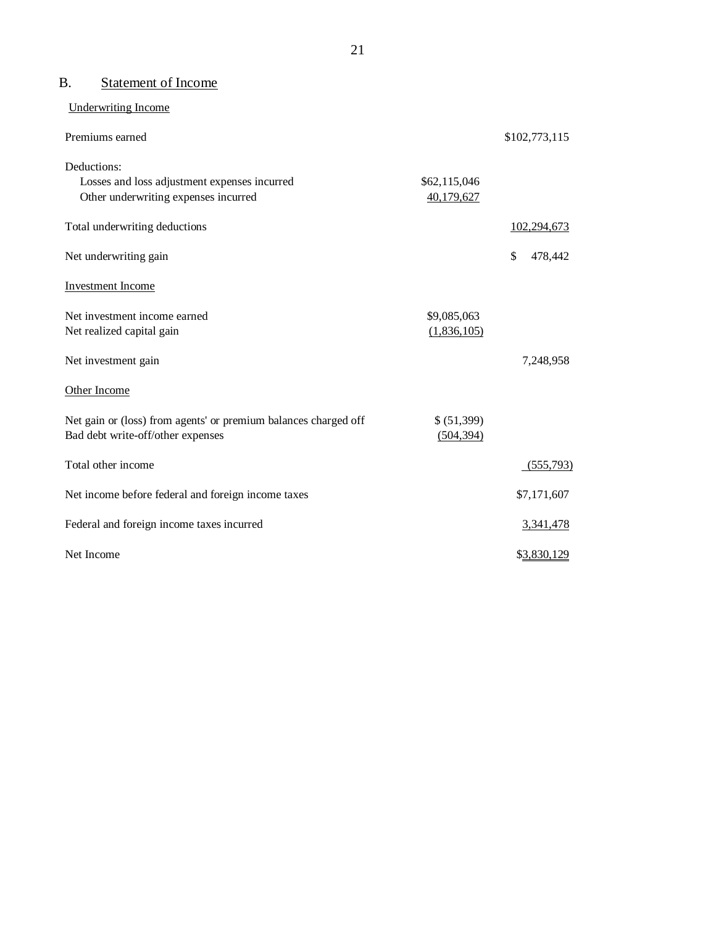# B. Statement of Income

Underwriting Income

| Premiums earned                                                                                      |                            | \$102,773,115           |
|------------------------------------------------------------------------------------------------------|----------------------------|-------------------------|
| Deductions:<br>Losses and loss adjustment expenses incurred<br>Other underwriting expenses incurred  | \$62,115,046<br>40,179,627 |                         |
| Total underwriting deductions                                                                        |                            | 102,294,673             |
| Net underwriting gain                                                                                |                            | $\mathbb{S}$<br>478,442 |
| <b>Investment Income</b>                                                                             |                            |                         |
| Net investment income earned<br>Net realized capital gain                                            | \$9,085,063<br>(1,836,105) |                         |
| Net investment gain                                                                                  |                            | 7,248,958               |
| Other Income                                                                                         |                            |                         |
| Net gain or (loss) from agents' or premium balances charged off<br>Bad debt write-off/other expenses | \$ (51,399)<br>(504, 394)  |                         |
| Total other income                                                                                   |                            | (555,793)               |
| Net income before federal and foreign income taxes                                                   |                            | \$7,171,607             |
| Federal and foreign income taxes incurred                                                            |                            | 3,341,478               |
| Net Income                                                                                           |                            | \$3,830,129             |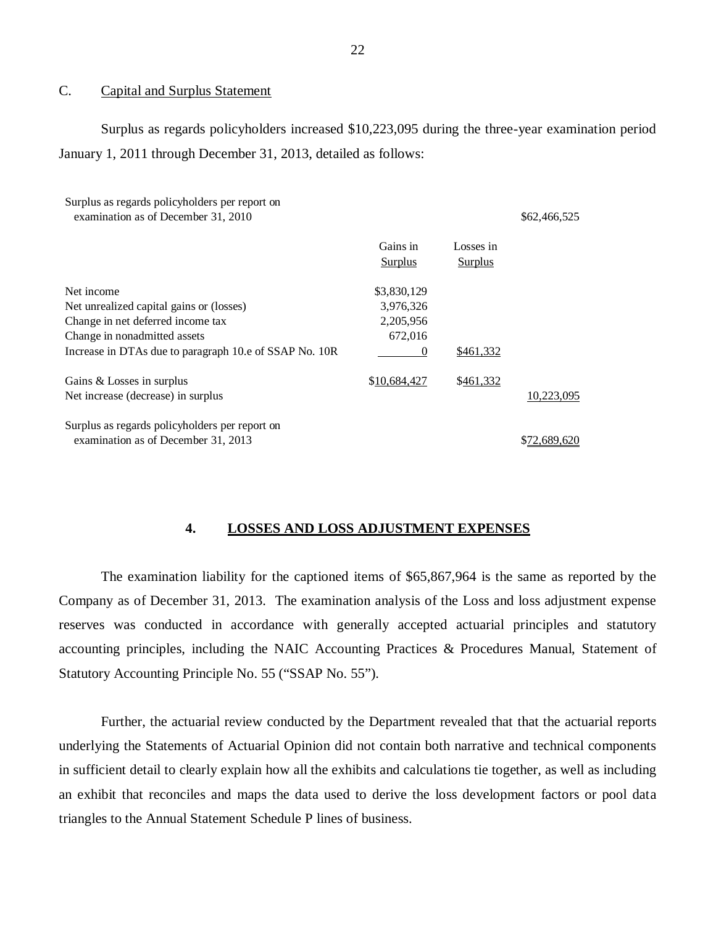#### C. Capital and Surplus Statement

Surplus as regards policyholders increased \$10,223,095 during the three-year examination period January 1, 2011 through December 31, 2013, detailed as follows:

| Surplus as regards policyholders per report on<br>examination as of December 31, 2010 |                     |                      | \$62,466,525 |
|---------------------------------------------------------------------------------------|---------------------|----------------------|--------------|
|                                                                                       | Gains in<br>Surplus | Losses in<br>Surplus |              |
| Net income                                                                            | \$3,830,129         |                      |              |
| Net unrealized capital gains or (losses)                                              | 3,976,326           |                      |              |
| Change in net deferred income tax                                                     | 2,205,956           |                      |              |
| Change in nonadmitted assets                                                          | 672,016             |                      |              |
| Increase in DTAs due to paragraph 10.e of SSAP No. 10R                                | $\theta$            | \$461,332            |              |
| Gains & Losses in surplus                                                             | \$10,684,427        | \$461,332            |              |
| Net increase (decrease) in surplus                                                    |                     |                      | 10,223,095   |
| Surplus as regards policyholders per report on                                        |                     |                      |              |
| examination as of December 31, 2013                                                   |                     |                      | \$72,689,620 |

#### **4. LOSSES AND LOSS ADJUSTMENT EXPENSES**

The examination liability for the captioned items of \$65,867,964 is the same as reported by the Company as of December 31, 2013. The examination analysis of the Loss and loss adjustment expense reserves was conducted in accordance with generally accepted actuarial principles and statutory accounting principles, including the NAIC Accounting Practices & Procedures Manual, Statement of Statutory Accounting Principle No. 55 ("SSAP No. 55").

Further, the actuarial review conducted by the Department revealed that that the actuarial reports underlying the Statements of Actuarial Opinion did not contain both narrative and technical components in sufficient detail to clearly explain how all the exhibits and calculations tie together, as well as including an exhibit that reconciles and maps the data used to derive the loss development factors or pool data triangles to the Annual Statement Schedule P lines of business.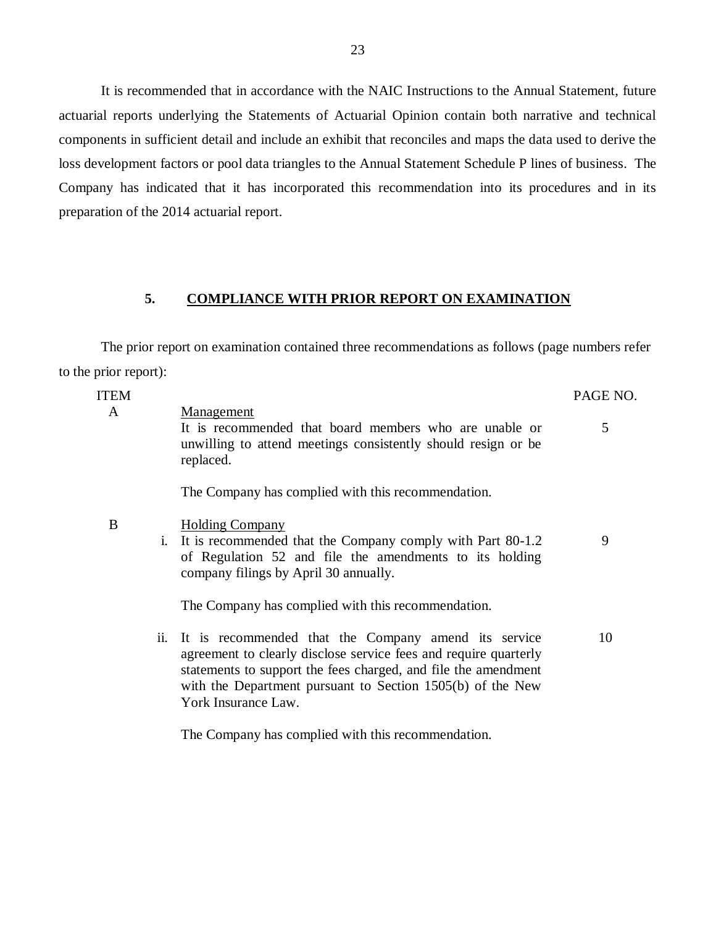It is recommended that in accordance with the NAIC Instructions to the Annual Statement, future actuarial reports underlying the Statements of Actuarial Opinion contain both narrative and technical components in sufficient detail and include an exhibit that reconciles and maps the data used to derive the loss development factors or pool data triangles to the Annual Statement Schedule P lines of business. The Company has indicated that it has incorporated this recommendation into its procedures and in its preparation of the 2014 actuarial report.

### **5. COMPLIANCE WITH PRIOR REPORT ON EXAMINATION**

The prior report on examination contained three recommendations as follows (page numbers refer to the prior report):

| <b>ITEM</b> |                |                                                                                                                                                                                                                                                                                 | PAGE NO. |
|-------------|----------------|---------------------------------------------------------------------------------------------------------------------------------------------------------------------------------------------------------------------------------------------------------------------------------|----------|
| A           |                | Management<br>It is recommended that board members who are unable or<br>unwilling to attend meetings consistently should resign or be.<br>replaced.                                                                                                                             | 5        |
|             |                | The Company has complied with this recommendation.                                                                                                                                                                                                                              |          |
| B           | $\mathbf{i}$ . | <b>Holding Company</b><br>It is recommended that the Company comply with Part 80-1.2<br>of Regulation 52 and file the amendments to its holding<br>company filings by April 30 annually.                                                                                        | 9        |
|             |                | The Company has complied with this recommendation.                                                                                                                                                                                                                              |          |
|             | ii.            | It is recommended that the Company amend its service<br>agreement to clearly disclose service fees and require quarterly<br>statements to support the fees charged, and file the amendment<br>with the Department pursuant to Section 1505(b) of the New<br>York Insurance Law. | 10       |
|             |                | The Company has complied with this recommendation.                                                                                                                                                                                                                              |          |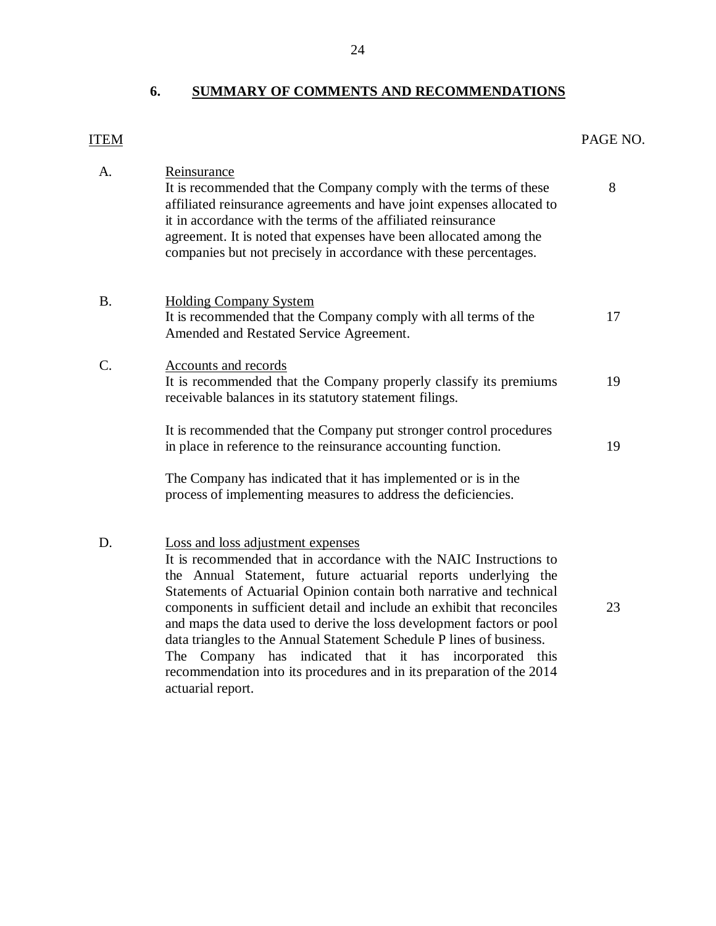# **6. SUMMARY OF COMMENTS AND RECOMMENDATIONS**

# <span id="page-25-0"></span>ITEM PAGE NO.

| A.        | Reinsurance<br>It is recommended that the Company comply with the terms of these<br>affiliated reinsurance agreements and have joint expenses allocated to<br>it in accordance with the terms of the affiliated reinsurance<br>agreement. It is noted that expenses have been allocated among the<br>companies but not precisely in accordance with these percentages.                                                                                                                                                                                                                                                               | 8  |
|-----------|--------------------------------------------------------------------------------------------------------------------------------------------------------------------------------------------------------------------------------------------------------------------------------------------------------------------------------------------------------------------------------------------------------------------------------------------------------------------------------------------------------------------------------------------------------------------------------------------------------------------------------------|----|
| <b>B.</b> | <b>Holding Company System</b><br>It is recommended that the Company comply with all terms of the<br>Amended and Restated Service Agreement.                                                                                                                                                                                                                                                                                                                                                                                                                                                                                          | 17 |
| C.        | Accounts and records<br>It is recommended that the Company properly classify its premiums<br>receivable balances in its statutory statement filings.                                                                                                                                                                                                                                                                                                                                                                                                                                                                                 | 19 |
|           | It is recommended that the Company put stronger control procedures<br>in place in reference to the reinsurance accounting function.                                                                                                                                                                                                                                                                                                                                                                                                                                                                                                  | 19 |
|           | The Company has indicated that it has implemented or is in the<br>process of implementing measures to address the deficiencies.                                                                                                                                                                                                                                                                                                                                                                                                                                                                                                      |    |
| D.        | Loss and loss adjustment expenses<br>It is recommended that in accordance with the NAIC Instructions to<br>the Annual Statement, future actuarial reports underlying the<br>Statements of Actuarial Opinion contain both narrative and technical<br>components in sufficient detail and include an exhibit that reconciles<br>and maps the data used to derive the loss development factors or pool<br>data triangles to the Annual Statement Schedule P lines of business.<br>The Company has indicated that it has incorporated this<br>recommendation into its procedures and in its preparation of the 2014<br>actuarial report. | 23 |